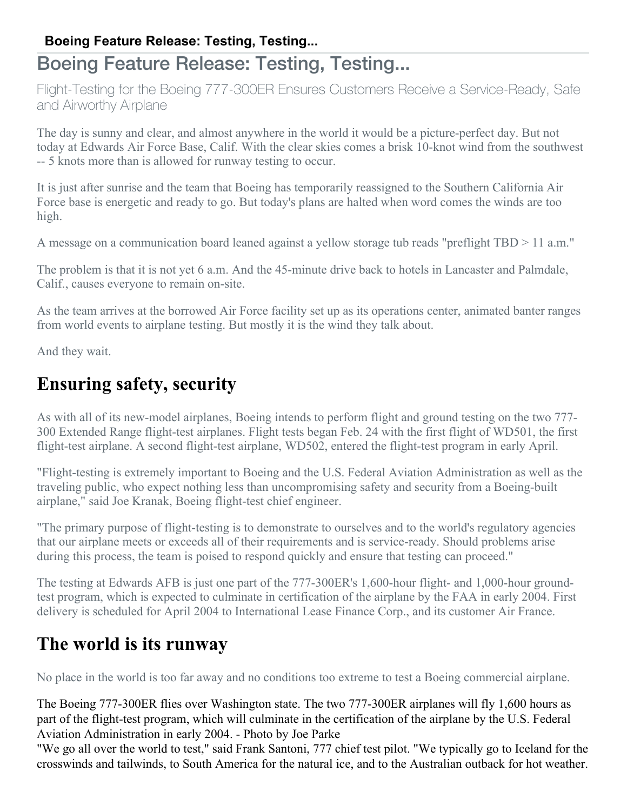## Boeing Feature Release: Testing, Testing...

Flight-Testing for the Boeing 777-300ER Ensures Customers Receive a Service-Ready, Safe and Airworthy Airplane

The day is sunny and clear, and almost anywhere in the world it would be a picture-perfect day. But not today at Edwards Air Force Base, Calif. With the clear skies comes a brisk 10-knot wind from the southwest -- 5 knots more than is allowed for runway testing to occur.

It is just after sunrise and the team that Boeing has temporarily reassigned to the Southern California Air Force base is energetic and ready to go. But today's plans are halted when word comes the winds are too high.

A message on a communication board leaned against a yellow storage tub reads "preflight TBD > 11 a.m."

The problem is that it is not yet 6 a.m. And the 45-minute drive back to hotels in Lancaster and Palmdale, Calif., causes everyone to remain on-site.

As the team arrives at the borrowed Air Force facility set up as its operations center, animated banter ranges from world events to airplane testing. But mostly it is the wind they talk about.

And they wait.

## **Ensuring safety, security**

As with all of its new-model airplanes, Boeing intends to perform flight and ground testing on the two 777- 300 Extended Range flight-test airplanes. Flight tests began Feb. 24 with the first flight of WD501, the first flight-test airplane. A second flight-test airplane, WD502, entered the flight-test program in early April.

"Flight-testing is extremely important to Boeing and the U.S. Federal Aviation Administration as well as the traveling public, who expect nothing less than uncompromising safety and security from a Boeing-built airplane," said Joe Kranak, Boeing flight-test chief engineer.

"The primary purpose of flight-testing is to demonstrate to ourselves and to the world's regulatory agencies that our airplane meets or exceeds all of their requirements and is service-ready. Should problems arise during this process, the team is poised to respond quickly and ensure that testing can proceed."

The testing at Edwards AFB is just one part of the 777-300ER's 1,600-hour flight- and 1,000-hour groundtest program, which is expected to culminate in certification of the airplane by the FAA in early 2004. First delivery is scheduled for April 2004 to International Lease Finance Corp., and its customer Air France.

### **The world is its runway**

No place in the world is too far away and no conditions too extreme to test a Boeing commercial airplane.

The Boeing 777-300ER flies over Washington state. The two 777-300ER airplanes will fly 1,600 hours as part of the flight-test program, which will culminate in the certification of the airplane by the U.S. Federal Aviation Administration in early 2004. - Photo by Joe Parke

"We go all over the world to test," said Frank Santoni, 777 chief test pilot. "We typically go to Iceland for the crosswinds and tailwinds, to South America for the natural ice, and to the Australian outback for hot weather.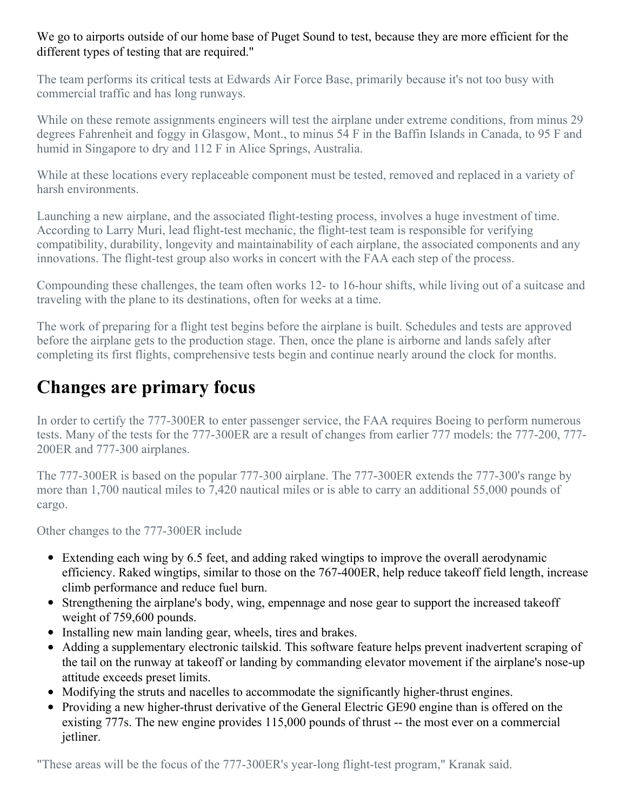#### We go to airports outside of our home base of Puget Sound to test, because they are more efficient for the different types of testing that are required."

The team performs its critical tests at Edwards Air Force Base, primarily because it's not too busy with commercial traffic and has long runways.

While on these remote assignments engineers will test the airplane under extreme conditions, from minus 29 degrees Fahrenheit and foggy in Glasgow, Mont., to minus 54 F in the Baffin Islands in Canada, to 95 F and humid in Singapore to dry and 112 F in Alice Springs, Australia.

While at these locations every replaceable component must be tested, removed and replaced in a variety of harsh environments.

Launching a new airplane, and the associated flight-testing process, involves a huge investment of time. According to Larry Muri, lead flight-test mechanic, the flight-test team is responsible for verifying compatibility, durability, longevity and maintainability of each airplane, the associated components and any innovations. The flight-test group also works in concert with the FAA each step of the process.

Compounding these challenges, the team often works 12- to 16-hour shifts, while living out of a suitcase and traveling with the plane to its destinations, often for weeks at a time.

The work of preparing for a flight test begins before the airplane is built. Schedules and tests are approved before the airplane gets to the production stage. Then, once the plane is airborne and lands safely after completing its first flights, comprehensive tests begin and continue nearly around the clock for months.

## **Changes are primary focus**

In order to certify the 777-300ER to enter passenger service, the FAA requires Boeing to perform numerous tests. Many of the tests for the 777-300ER are a result of changes from earlier 777 models: the 777-200, 777- 200ER and 777-300 airplanes.

The 777-300ER is based on the popular 777-300 airplane. The 777-300ER extends the 777-300's range by more than 1,700 nautical miles to 7,420 nautical miles or is able to carry an additional 55,000 pounds of cargo.

Other changes to the 777-300ER include

- Extending each wing by 6.5 feet, and adding raked wingtips to improve the overall aerodynamic efficiency. Raked wingtips, similar to those on the 767-400ER, help reduce takeoff field length, increase climb performance and reduce fuel burn.
- Strengthening the airplane's body, wing, empennage and nose gear to support the increased takeoff weight of 759,600 pounds.
- Installing new main landing gear, wheels, tires and brakes.
- Adding a supplementary electronic tailskid. This software feature helps prevent inadvertent scraping of the tail on the runway at takeoff or landing by commanding elevator movement if the airplane's nose-up attitude exceeds preset limits.
- Modifying the struts and nacelles to accommodate the significantly higher-thrust engines.
- Providing a new higher-thrust derivative of the General Electric GE90 engine than is offered on the existing 777s. The new engine provides 115,000 pounds of thrust -- the most ever on a commercial jetliner.

"These areas will be the focus of the 777-300ER's year-long flight-test program," Kranak said.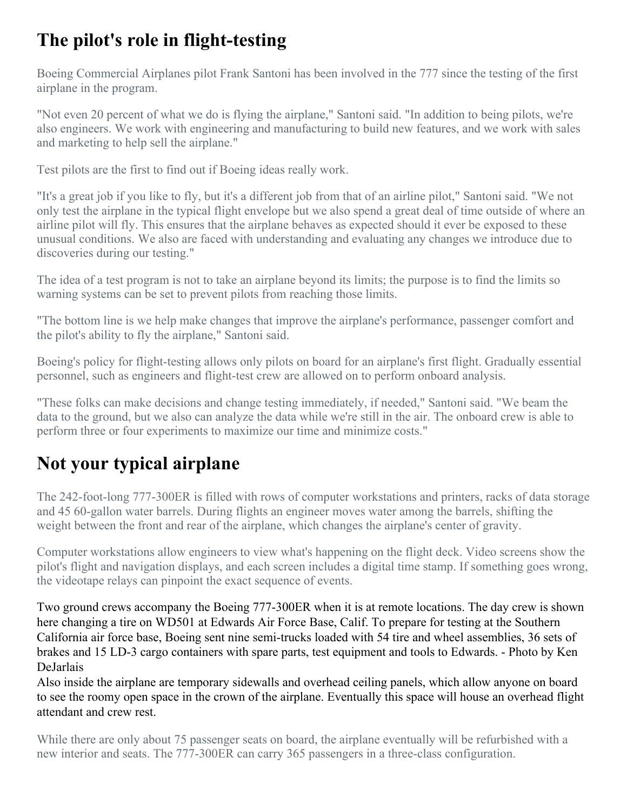# **The pilot's role in flight-testing**

Boeing Commercial Airplanes pilot Frank Santoni has been involved in the 777 since the testing of the first airplane in the program.

"Not even 20 percent of what we do is flying the airplane," Santoni said. "In addition to being pilots, we're also engineers. We work with engineering and manufacturing to build new features, and we work with sales and marketing to help sell the airplane."

Test pilots are the first to find out if Boeing ideas really work.

"It's a great job if you like to fly, but it's a different job from that of an airline pilot," Santoni said. "We not only test the airplane in the typical flight envelope but we also spend a great deal of time outside of where an airline pilot will fly. This ensures that the airplane behaves as expected should it ever be exposed to these unusual conditions. We also are faced with understanding and evaluating any changes we introduce due to discoveries during our testing."

The idea of a test program is not to take an airplane beyond its limits; the purpose is to find the limits so warning systems can be set to prevent pilots from reaching those limits.

"The bottom line is we help make changes that improve the airplane's performance, passenger comfort and the pilot's ability to fly the airplane," Santoni said.

Boeing's policy for flight-testing allows only pilots on board for an airplane's first flight. Gradually essential personnel, such as engineers and flight-test crew are allowed on to perform onboard analysis.

"These folks can make decisions and change testing immediately, if needed," Santoni said. "We beam the data to the ground, but we also can analyze the data while we're still in the air. The onboard crew is able to perform three or four experiments to maximize our time and minimize costs."

# **Not your typical airplane**

The 242-foot-long 777-300ER is filled with rows of computer workstations and printers, racks of data storage and 45 60-gallon water barrels. During flights an engineer moves water among the barrels, shifting the weight between the front and rear of the airplane, which changes the airplane's center of gravity.

Computer workstations allow engineers to view what's happening on the flight deck. Video screens show the pilot's flight and navigation displays, and each screen includes a digital time stamp. If something goes wrong, the videotape relays can pinpoint the exact sequence of events.

Two ground crews accompany the Boeing 777-300ER when it is at remote locations. The day crew is shown here changing a tire on WD501 at Edwards Air Force Base, Calif. To prepare for testing at the Southern California air force base, Boeing sent nine semi-trucks loaded with 54 tire and wheel assemblies, 36 sets of brakes and 15 LD-3 cargo containers with spare parts, test equipment and tools to Edwards. - Photo by Ken DeJarlais

Also inside the airplane are temporary sidewalls and overhead ceiling panels, which allow anyone on board to see the roomy open space in the crown of the airplane. Eventually this space will house an overhead flight attendant and crew rest.

While there are only about 75 passenger seats on board, the airplane eventually will be refurbished with a new interior and seats. The 777-300ER can carry 365 passengers in a three-class configuration.